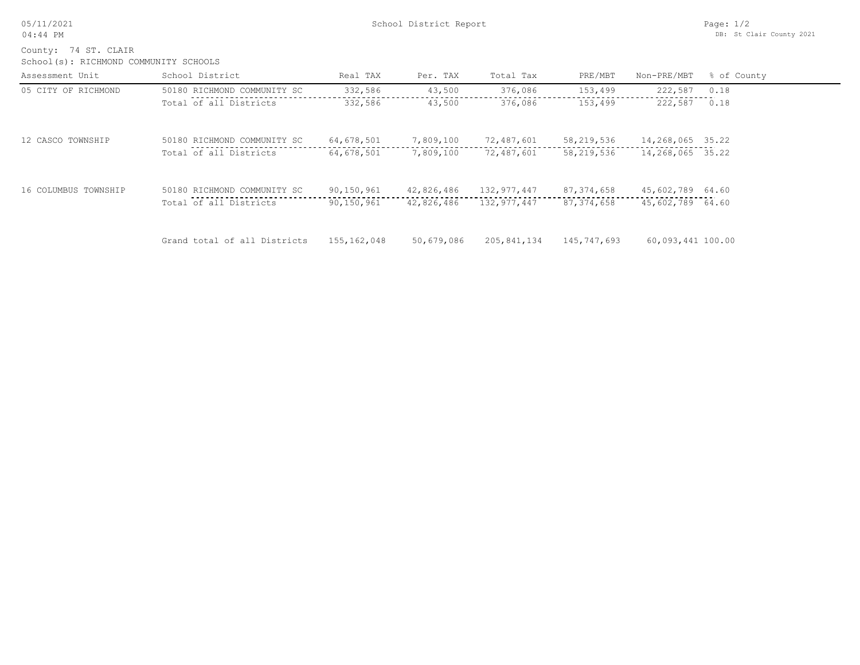05/11/2021 04:44 PM

School(s): RICHMOND COMMUNITY SCHOOLS County: 74 ST. CLAIR

| Assessment Unit      | School District              | Real TAX    | Per. TAX   | Total Tax   | PRE/MBT      | Non-PRE/MBT       | % of County |
|----------------------|------------------------------|-------------|------------|-------------|--------------|-------------------|-------------|
| 05 CITY OF RICHMOND  | 50180 RICHMOND COMMUNITY SC  | 332,586     | 43,500     | 376,086     | 153,499      | 222,587           | 0.18        |
|                      | Total of all Districts       | 332,586     | 43,500     | 376,086     | 153,499      | 222,587           | 0.18        |
| 12 CASCO TOWNSHIP    | 50180 RICHMOND COMMUNITY SC  | 64,678,501  | 7,809,100  | 72,487,601  | 58,219,536   | 14,268,065 35.22  |             |
|                      | Total of all Districts       | 64,678,501  | 7,809,100  | 72,487,601  | 58,219,536   | 14,268,065 35.22  |             |
| 16 COLUMBUS TOWNSHIP | 50180 RICHMOND COMMUNITY SC  | 90,150,961  | 42,826,486 | 132,977,447 | 87, 374, 658 | 45,602,789 64.60  |             |
|                      | Total of all Districts       | 90,150,961  | 42,826,486 | 132,977,447 | 87, 374, 658 | 45,602,789 64.60  |             |
|                      | Grand total of all Districts | 155,162,048 | 50,679,086 | 205,841,134 | 145,747,693  | 60,093,441 100.00 |             |